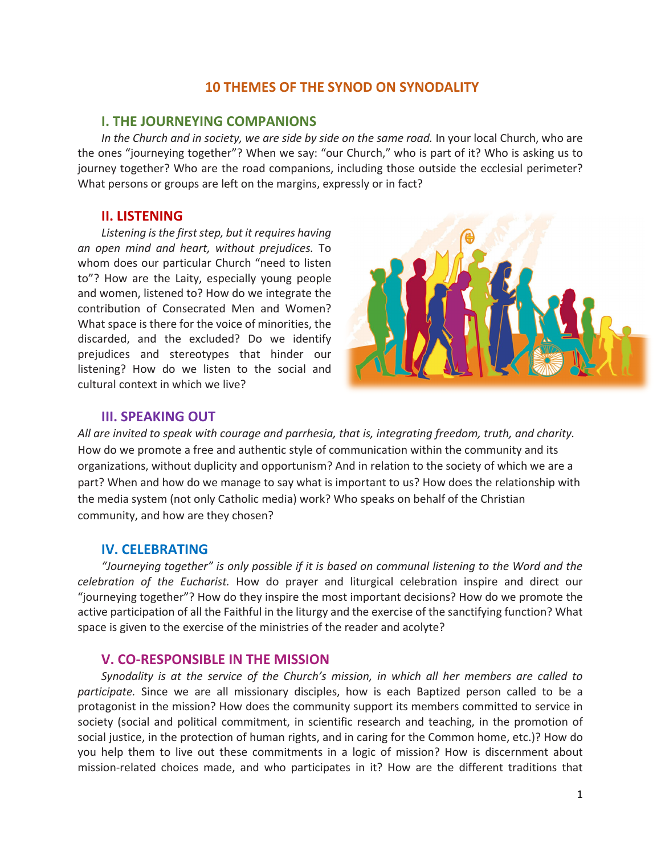# **10 THEMES OF THE SYNOD ON SYNODALITY**

### **I. THE JOURNEYING COMPANIONS**

In the Church and in society, we are side by side on the same road. In your local Church, who are the ones "journeying together"? When we say: "our Church," who is part of it? Who is asking us to journey together? Who are the road companions, including those outside the ecclesial perimeter? What persons or groups are left on the margins, expressly or in fact?

## **II. LISTENING**

*Listening is the first step, but it requires having an open mind and heart, without prejudices.* To whom does our particular Church "need to listen to"? How are the Laity, especially young people and women, listened to? How do we integrate the contribution of Consecrated Men and Women? What space is there for the voice of minorities, the discarded, and the excluded? Do we identify prejudices and stereotypes that hinder our listening? How do we listen to the social and cultural context in which we live?



## **III. SPEAKING OUT**

*All are invited to speak with courage and parrhesia, that is, integrating freedom, truth, and charity.*  How do we promote a free and authentic style of communication within the community and its organizations, without duplicity and opportunism? And in relation to the society of which we are a part? When and how do we manage to say what is important to us? How does the relationship with the media system (not only Catholic media) work? Who speaks on behalf of the Christian community, and how are they chosen?

## **IV. CELEBRATING**

*"Journeying together" is only possible if it is based on communal listening to the Word and the celebration of the Eucharist.* How do prayer and liturgical celebration inspire and direct our "journeying together"? How do they inspire the most important decisions? How do we promote the active participation of all the Faithful in the liturgy and the exercise of the sanctifying function? What space is given to the exercise of the ministries of the reader and acolyte?

### **V. CO-RESPONSIBLE IN THE MISSION**

*Synodality is at the service of the Church's mission, in which all her members are called to participate.* Since we are all missionary disciples, how is each Baptized person called to be a protagonist in the mission? How does the community support its members committed to service in society (social and political commitment, in scientific research and teaching, in the promotion of social justice, in the protection of human rights, and in caring for the Common home, etc.)? How do you help them to live out these commitments in a logic of mission? How is discernment about mission-related choices made, and who participates in it? How are the different traditions that